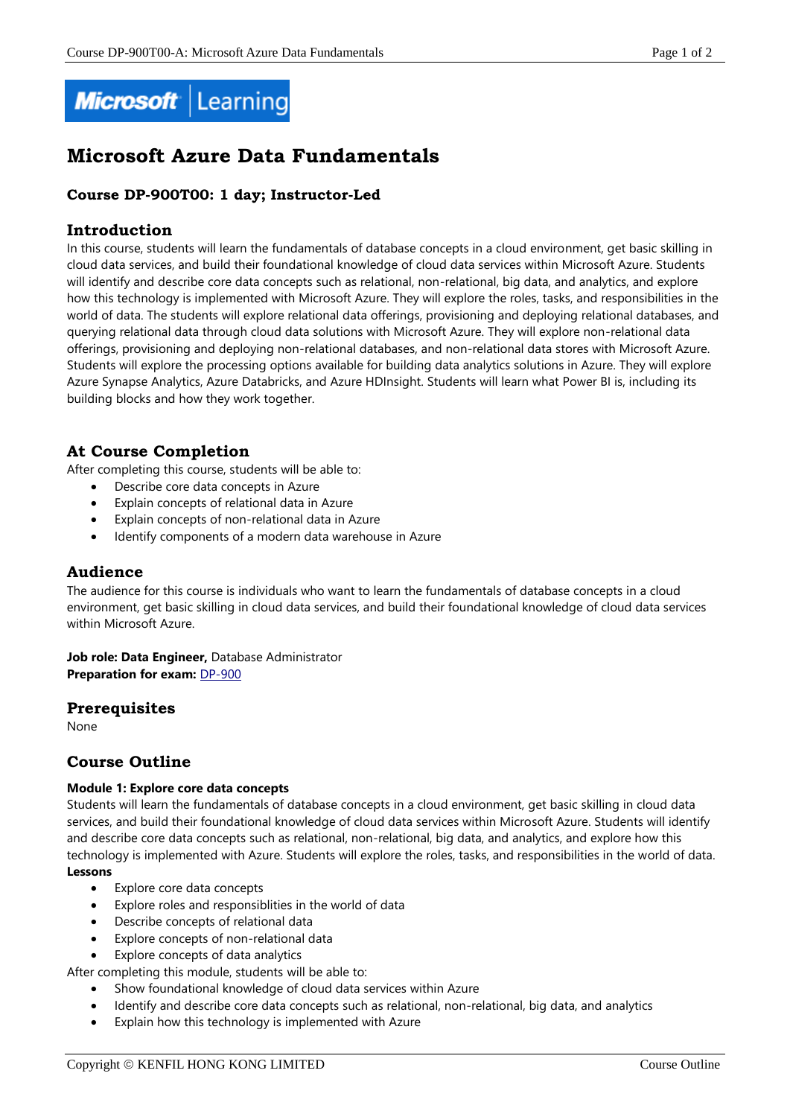

# **Microsoft Azure Data Fundamentals**

# **Course DP-900T00: 1 day; Instructor-Led**

# **Introduction**

In this course, students will learn the fundamentals of database concepts in a cloud environment, get basic skilling in cloud data services, and build their foundational knowledge of cloud data services within Microsoft Azure. Students will identify and describe core data concepts such as relational, non-relational, big data, and analytics, and explore how this technology is implemented with Microsoft Azure. They will explore the roles, tasks, and responsibilities in the world of data. The students will explore relational data offerings, provisioning and deploying relational databases, and querying relational data through cloud data solutions with Microsoft Azure. They will explore non-relational data offerings, provisioning and deploying non-relational databases, and non-relational data stores with Microsoft Azure. Students will explore the processing options available for building data analytics solutions in Azure. They will explore Azure Synapse Analytics, Azure Databricks, and Azure HDInsight. Students will learn what Power BI is, including its building blocks and how they work together.

# **At Course Completion**

After completing this course, students will be able to:

- Describe core data concepts in Azure
- Explain concepts of relational data in Azure
- Explain concepts of non-relational data in Azure
- Identify components of a modern data warehouse in Azure

# **Audience**

The audience for this course is individuals who want to learn the fundamentals of database concepts in a cloud environment, get basic skilling in cloud data services, and build their foundational knowledge of cloud data services within Microsoft Azure.

**Job role: Data Engineer,** Database Administrator **Preparation for exam: [DP-900](https://docs.microsoft.com/en-us/learn/certifications/exams/dp-900)** 

# **Prerequisites**

None

# **Course Outline**

#### **Module 1: Explore core data concepts**

Students will learn the fundamentals of database concepts in a cloud environment, get basic skilling in cloud data services, and build their foundational knowledge of cloud data services within Microsoft Azure. Students will identify and describe core data concepts such as relational, non-relational, big data, and analytics, and explore how this technology is implemented with Azure. Students will explore the roles, tasks, and responsibilities in the world of data. **Lessons**

- Explore core data concepts
- Explore roles and responsiblities in the world of data
- Describe concepts of relational data
- Explore concepts of non-relational data
- Explore concepts of data analytics

After completing this module, students will be able to:

- Show foundational knowledge of cloud data services within Azure
- Identify and describe core data concepts such as relational, non-relational, big data, and analytics
- Explain how this technology is implemented with Azure